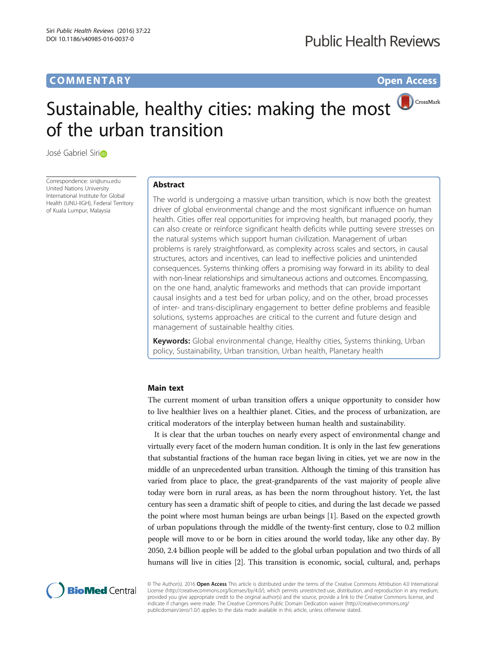## **COMMENTARY COMMENTARY Open Access**

# Sustainable, healthy cities: making the most of the urban transition

José Gabr[i](http://orcid.org/0000-0001-7041-0310)el Sirin

Correspondence: [siri@unu.edu](mailto:siri@unu.edu) United Nations University International Institute for Global Health (UNU-IIGH), Federal Territory of Kuala Lumpur, Malaysia

## Abstract

The world is undergoing a massive urban transition, which is now both the greatest driver of global environmental change and the most significant influence on human health. Cities offer real opportunities for improving health, but managed poorly, they can also create or reinforce significant health deficits while putting severe stresses on the natural systems which support human civilization. Management of urban problems is rarely straightforward, as complexity across scales and sectors, in causal structures, actors and incentives, can lead to ineffective policies and unintended consequences. Systems thinking offers a promising way forward in its ability to deal with non-linear relationships and simultaneous actions and outcomes. Encompassing, on the one hand, analytic frameworks and methods that can provide important causal insights and a test bed for urban policy, and on the other, broad processes of inter- and trans-disciplinary engagement to better define problems and feasible solutions, systems approaches are critical to the current and future design and management of sustainable healthy cities.

Keywords: Global environmental change, Healthy cities, Systems thinking, Urban policy, Sustainability, Urban transition, Urban health, Planetary health

### Main text

The current moment of urban transition offers a unique opportunity to consider how to live healthier lives on a healthier planet. Cities, and the process of urbanization, are critical moderators of the interplay between human health and sustainability.

It is clear that the urban touches on nearly every aspect of environmental change and virtually every facet of the modern human condition. It is only in the last few generations that substantial fractions of the human race began living in cities, yet we are now in the middle of an unprecedented urban transition. Although the timing of this transition has varied from place to place, the great-grandparents of the vast majority of people alive today were born in rural areas, as has been the norm throughout history. Yet, the last century has seen a dramatic shift of people to cities, and during the last decade we passed the point where most human beings are urban beings [\[1](#page-3-0)]. Based on the expected growth of urban populations through the middle of the twenty-first century, close to 0.2 million people will move to or be born in cities around the world today, like any other day. By 2050, 2.4 billion people will be added to the global urban population and two thirds of all humans will live in cities [[2\]](#page-3-0). This transition is economic, social, cultural, and, perhaps



© The Author(s). 2016 Open Access This article is distributed under the terms of the Creative Commons Attribution 4.0 International License ([http://creativecommons.org/licenses/by/4.0/\)](http://creativecommons.org/licenses/by/4.0/), which permits unrestricted use, distribution, and reproduction in any medium, provided you give appropriate credit to the original author(s) and the source, provide a link to the Creative Commons license, and indicate if changes were made. The Creative Commons Public Domain Dedication waiver ([http://creativecommons.org/](http://creativecommons.org/publicdomain/zero/1.0/) [publicdomain/zero/1.0/\)](http://creativecommons.org/publicdomain/zero/1.0/) applies to the data made available in this article, unless otherwise stated.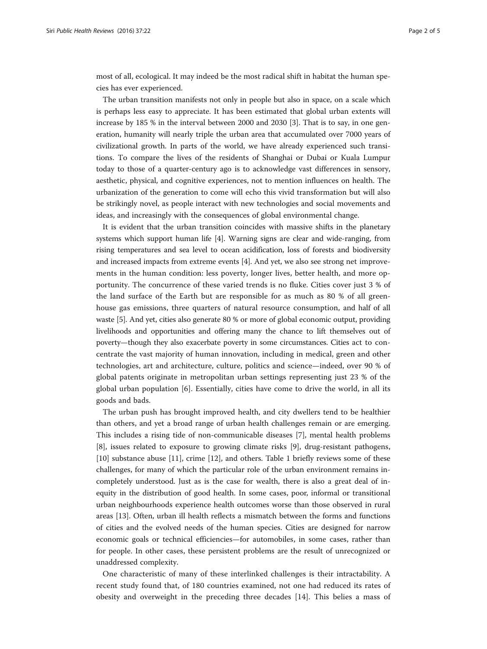most of all, ecological. It may indeed be the most radical shift in habitat the human species has ever experienced.

The urban transition manifests not only in people but also in space, on a scale which is perhaps less easy to appreciate. It has been estimated that global urban extents will increase by 185 % in the interval between 2000 and 2030 [\[3](#page-3-0)]. That is to say, in one generation, humanity will nearly triple the urban area that accumulated over 7000 years of civilizational growth. In parts of the world, we have already experienced such transitions. To compare the lives of the residents of Shanghai or Dubai or Kuala Lumpur today to those of a quarter-century ago is to acknowledge vast differences in sensory, aesthetic, physical, and cognitive experiences, not to mention influences on health. The urbanization of the generation to come will echo this vivid transformation but will also be strikingly novel, as people interact with new technologies and social movements and ideas, and increasingly with the consequences of global environmental change.

It is evident that the urban transition coincides with massive shifts in the planetary systems which support human life [[4](#page-3-0)]. Warning signs are clear and wide-ranging, from rising temperatures and sea level to ocean acidification, loss of forests and biodiversity and increased impacts from extreme events [\[4](#page-3-0)]. And yet, we also see strong net improvements in the human condition: less poverty, longer lives, better health, and more opportunity. The concurrence of these varied trends is no fluke. Cities cover just 3 % of the land surface of the Earth but are responsible for as much as 80 % of all greenhouse gas emissions, three quarters of natural resource consumption, and half of all waste [[5](#page-3-0)]. And yet, cities also generate 80 % or more of global economic output, providing livelihoods and opportunities and offering many the chance to lift themselves out of poverty—though they also exacerbate poverty in some circumstances. Cities act to concentrate the vast majority of human innovation, including in medical, green and other technologies, art and architecture, culture, politics and science—indeed, over 90 % of global patents originate in metropolitan urban settings representing just 23 % of the global urban population [\[6](#page-3-0)]. Essentially, cities have come to drive the world, in all its goods and bads.

The urban push has brought improved health, and city dwellers tend to be healthier than others, and yet a broad range of urban health challenges remain or are emerging. This includes a rising tide of non-communicable diseases [[7\]](#page-3-0), mental health problems [[8\]](#page-4-0), issues related to exposure to growing climate risks [\[9](#page-4-0)], drug-resistant pathogens, [[10\]](#page-4-0) substance abuse [\[11](#page-4-0)], crime [\[12](#page-4-0)], and others. Table [1](#page-2-0) briefly reviews some of these challenges, for many of which the particular role of the urban environment remains incompletely understood. Just as is the case for wealth, there is also a great deal of inequity in the distribution of good health. In some cases, poor, informal or transitional urban neighbourhoods experience health outcomes worse than those observed in rural areas [[13\]](#page-4-0). Often, urban ill health reflects a mismatch between the forms and functions of cities and the evolved needs of the human species. Cities are designed for narrow economic goals or technical efficiencies—for automobiles, in some cases, rather than for people. In other cases, these persistent problems are the result of unrecognized or unaddressed complexity.

One characteristic of many of these interlinked challenges is their intractability. A recent study found that, of 180 countries examined, not one had reduced its rates of obesity and overweight in the preceding three decades [[14](#page-4-0)]. This belies a mass of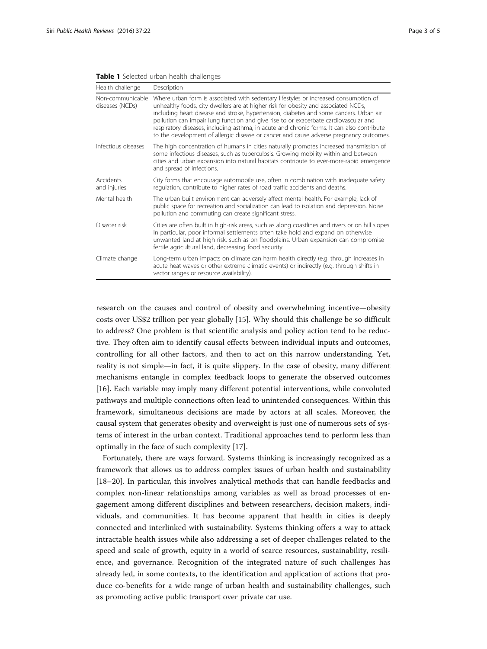| Health challenge                    | Description                                                                                                                                                                                                                                                                                                                                                                                                                                                                                                                                          |
|-------------------------------------|------------------------------------------------------------------------------------------------------------------------------------------------------------------------------------------------------------------------------------------------------------------------------------------------------------------------------------------------------------------------------------------------------------------------------------------------------------------------------------------------------------------------------------------------------|
| Non-communicable<br>diseases (NCDs) | Where urban form is associated with sedentary lifestyles or increased consumption of<br>unhealthy foods, city dwellers are at higher risk for obesity and associated NCDs,<br>including heart disease and stroke, hypertension, diabetes and some cancers. Urban air<br>pollution can impair lung function and give rise to or exacerbate cardiovascular and<br>respiratory diseases, including asthma, in acute and chronic forms. It can also contribute<br>to the development of allergic disease or cancer and cause adverse pregnancy outcomes. |
| Infectious diseases                 | The high concentration of humans in cities naturally promotes increased transmission of<br>some infectious diseases, such as tuberculosis. Growing mobility within and between<br>cities and urban expansion into natural habitats contribute to ever-more-rapid emergence<br>and spread of infections.                                                                                                                                                                                                                                              |
| Accidents<br>and injuries           | City forms that encourage automobile use, often in combination with inadequate safety<br>regulation, contribute to higher rates of road traffic accidents and deaths.                                                                                                                                                                                                                                                                                                                                                                                |
| Mental health                       | The urban built environment can adversely affect mental health. For example, lack of<br>public space for recreation and socialization can lead to isolation and depression. Noise<br>pollution and commuting can create significant stress.                                                                                                                                                                                                                                                                                                          |
| Disaster risk                       | Cities are often built in high-risk areas, such as along coastlines and rivers or on hill slopes.<br>In particular, poor informal settlements often take hold and expand on otherwise<br>unwanted land at high risk, such as on floodplains. Urban expansion can compromise<br>fertile agricultural land, decreasing food security.                                                                                                                                                                                                                  |
| Climate change                      | Long-term urban impacts on climate can harm health directly (e.g. through increases in<br>acute heat waves or other extreme climatic events) or indirectly (e.g. through shifts in<br>vector ranges or resource availability).                                                                                                                                                                                                                                                                                                                       |

#### <span id="page-2-0"></span>Table 1 Selected urban health challenges

research on the causes and control of obesity and overwhelming incentive—obesity costs over US\$2 trillion per year globally [\[15](#page-4-0)]. Why should this challenge be so difficult to address? One problem is that scientific analysis and policy action tend to be reductive. They often aim to identify causal effects between individual inputs and outcomes, controlling for all other factors, and then to act on this narrow understanding. Yet, reality is not simple—in fact, it is quite slippery. In the case of obesity, many different mechanisms entangle in complex feedback loops to generate the observed outcomes [[16\]](#page-4-0). Each variable may imply many different potential interventions, while convoluted pathways and multiple connections often lead to unintended consequences. Within this framework, simultaneous decisions are made by actors at all scales. Moreover, the causal system that generates obesity and overweight is just one of numerous sets of systems of interest in the urban context. Traditional approaches tend to perform less than optimally in the face of such complexity [[17\]](#page-4-0).

Fortunately, there are ways forward. Systems thinking is increasingly recognized as a framework that allows us to address complex issues of urban health and sustainability [[18](#page-4-0)–[20\]](#page-4-0). In particular, this involves analytical methods that can handle feedbacks and complex non-linear relationships among variables as well as broad processes of engagement among different disciplines and between researchers, decision makers, individuals, and communities. It has become apparent that health in cities is deeply connected and interlinked with sustainability. Systems thinking offers a way to attack intractable health issues while also addressing a set of deeper challenges related to the speed and scale of growth, equity in a world of scarce resources, sustainability, resilience, and governance. Recognition of the integrated nature of such challenges has already led, in some contexts, to the identification and application of actions that produce co-benefits for a wide range of urban health and sustainability challenges, such as promoting active public transport over private car use.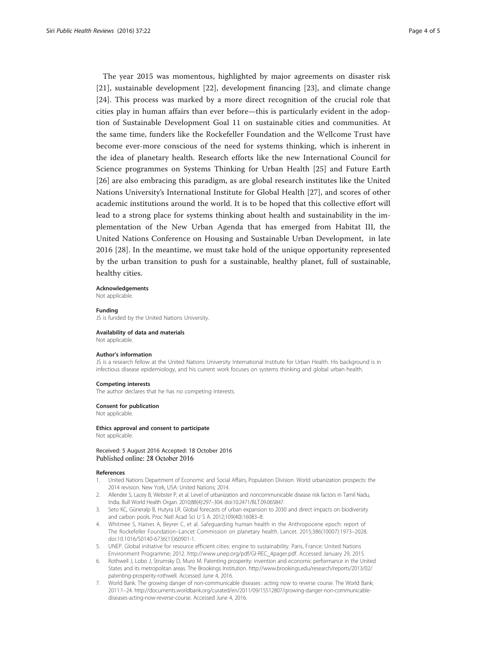<span id="page-3-0"></span>The year 2015 was momentous, highlighted by major agreements on disaster risk [[21\]](#page-4-0), sustainable development [[22\]](#page-4-0), development financing [[23\]](#page-4-0), and climate change [[24\]](#page-4-0). This process was marked by a more direct recognition of the crucial role that cities play in human affairs than ever before—this is particularly evident in the adoption of Sustainable Development Goal 11 on sustainable cities and communities. At the same time, funders like the Rockefeller Foundation and the Wellcome Trust have become ever-more conscious of the need for systems thinking, which is inherent in the idea of planetary health. Research efforts like the new International Council for Science programmes on Systems Thinking for Urban Health [\[25](#page-4-0)] and Future Earth [[26\]](#page-4-0) are also embracing this paradigm, as are global research institutes like the United Nations University's International Institute for Global Health [[27\]](#page-4-0), and scores of other academic institutions around the world. It is to be hoped that this collective effort will lead to a strong place for systems thinking about health and sustainability in the implementation of the New Urban Agenda that has emerged from Habitat III, the United Nations Conference on Housing and Sustainable Urban Development, in late 2016 [[28\]](#page-4-0). In the meantime, we must take hold of the unique opportunity represented by the urban transition to push for a sustainable, healthy planet, full of sustainable, healthy cities.

**Acknowledgements** 

Not applicable.

#### Funding

JS is funded by the United Nations University.

#### Availability of data and materials

Not applicable.

#### Author's information

JS is a research fellow at the United Nations University International Institute for Urban Health. His background is in infectious disease epidemiology, and his current work focuses on systems thinking and global urban health.

#### Competing interests

The author declares that he has no competing interests.

Consent for publication

Not applicable.

#### Ethics approval and consent to participate Not applicable.

Received: 5 August 2016 Accepted: 18 October 2016 Published online: 28 October 2016

#### References

- 1. United Nations Department of Economic and Social Affairs, Population Division. World urbanization prospects: the 2014 revision. New York, USA: United Nations; 2014.
- 2. Allender S, Lacey B, Webster P, et al. Level of urbanization and noncommunicable disease risk factors in Tamil Nadu, India. Bull World Health Organ. 2010;88(4):297–304. doi:[10.2471/BLT.09.065847.](http://dx.doi.org/10.2471/BLT.09.065847)
- Seto KC, Güneralp B, Hutyra LR. Global forecasts of urban expansion to 2030 and direct impacts on biodiversity and carbon pools. Proc Natl Acad Sci U S A. 2012;109(40):16083–8.
- 4. Whitmee S, Haines A, Beyrer C, et al. Safeguarding human health in the Anthropocene epoch: report of The Rockefeller Foundation–Lancet Commission on planetary health. Lancet. 2015;386(10007):1973–2028. doi:[10.1016/S0140-6736\(15\)60901-1.](http://dx.doi.org/10.1016/S0140-6736(15)60901-1)
- 5. UNEP. Global initiative for resource efficient cities: engine to sustainability. Paris, France: United Nations Environment Programme; 2012. [http://www.unep.org/pdf/GI-REC\\_4pager.pdf.](http://www.unep.org/pdf/GI-REC_4pager.pdf) Accessed January 29, 2015.
- 6. Rothwell J, Lobo J, Strumsky D, Muro M. Patenting prosperity: invention and economic performance in the United States and its metropolitan areas. The Brookings Institution. [http://www.brookings.edu/research/reports/2013/02/](http://www.brookings.edu/research/reports/2013/02/patenting-prosperity-rothwell) [patenting-prosperity-rothwell](http://www.brookings.edu/research/reports/2013/02/patenting-prosperity-rothwell). Accessed June 4, 2016.
- 7. World Bank. The growing danger of non-communicable diseases : acting now to reverse course. The World Bank; 2011:1–24. [http://documents.worldbank.org/curated/en/2011/09/15512807/growing-danger-non-communicable](http://documents.worldbank.org/curated/en/2011/09/15512807/growing-danger-non-communicable-diseases-acting-now-reverse-course)[diseases-acting-now-reverse-course](http://documents.worldbank.org/curated/en/2011/09/15512807/growing-danger-non-communicable-diseases-acting-now-reverse-course). Accessed June 4, 2016.